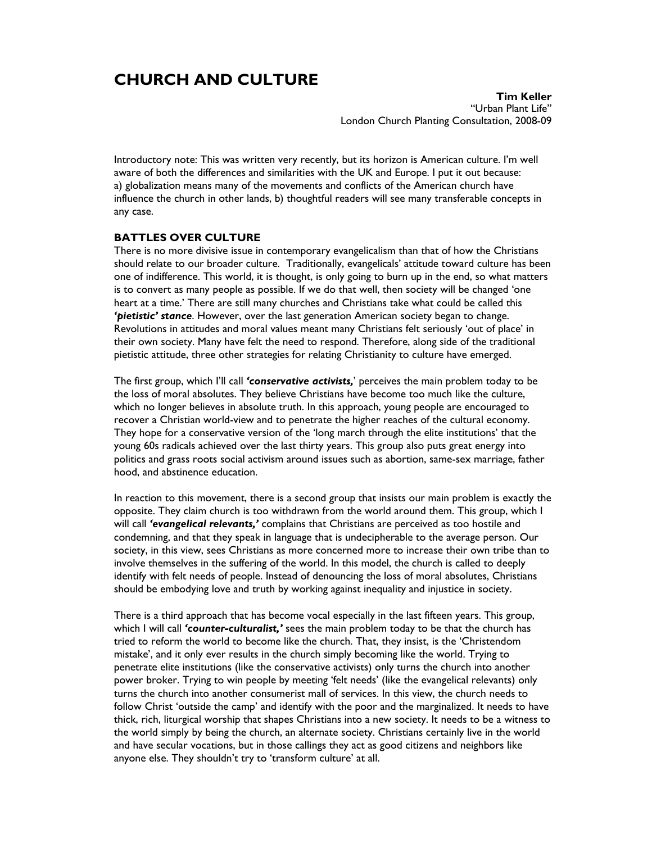# **CHURCH AND CULTURE**

**Tim Keller**  "Urban Plant Life" London Church Planting Consultation, 2008-09

Introductory note: This was written very recently, but its horizon is American culture. I'm well aware of both the differences and similarities with the UK and Europe. I put it out because: a) globalization means many of the movements and conflicts of the American church have influence the church in other lands, b) thoughtful readers will see many transferable concepts in any case.

#### **BATTLES OVER CULTURE**

There is no more divisive issue in contemporary evangelicalism than that of how the Christians should relate to our broader culture. Traditionally, evangelicals' attitude toward culture has been one of indifference. This world, it is thought, is only going to burn up in the end, so what matters is to convert as many people as possible. If we do that well, then society will be changed 'one heart at a time.' There are still many churches and Christians take what could be called this *'pietistic' stance*. However, over the last generation American society began to change. Revolutions in attitudes and moral values meant many Christians felt seriously 'out of place' in their own society. Many have felt the need to respond. Therefore, along side of the traditional pietistic attitude, three other strategies for relating Christianity to culture have emerged.

The first group, which I'll call *'conservative activists,*' perceives the main problem today to be the loss of moral absolutes. They believe Christians have become too much like the culture, which no longer believes in absolute truth. In this approach, young people are encouraged to recover a Christian world-view and to penetrate the higher reaches of the cultural economy. They hope for a conservative version of the 'long march through the elite institutions' that the young 60s radicals achieved over the last thirty years. This group also puts great energy into politics and grass roots social activism around issues such as abortion, same-sex marriage, father hood, and abstinence education.

In reaction to this movement, there is a second group that insists our main problem is exactly the opposite. They claim church is too withdrawn from the world around them. This group, which I will call *'evangelical relevants,'* complains that Christians are perceived as too hostile and condemning, and that they speak in language that is undecipherable to the average person. Our society, in this view, sees Christians as more concerned more to increase their own tribe than to involve themselves in the suffering of the world. In this model, the church is called to deeply identify with felt needs of people. Instead of denouncing the loss of moral absolutes, Christians should be embodying love and truth by working against inequality and injustice in society.

There is a third approach that has become vocal especially in the last fifteen years. This group, which I will call *'counter-culturalist,'* sees the main problem today to be that the church has tried to reform the world to become like the church. That, they insist, is the 'Christendom mistake', and it only ever results in the church simply becoming like the world. Trying to penetrate elite institutions (like the conservative activists) only turns the church into another power broker. Trying to win people by meeting 'felt needs' (like the evangelical relevants) only turns the church into another consumerist mall of services. In this view, the church needs to follow Christ 'outside the camp' and identify with the poor and the marginalized. It needs to have thick, rich, liturgical worship that shapes Christians into a new society. It needs to be a witness to the world simply by being the church, an alternate society. Christians certainly live in the world and have secular vocations, but in those callings they act as good citizens and neighbors like anyone else. They shouldn't try to 'transform culture' at all.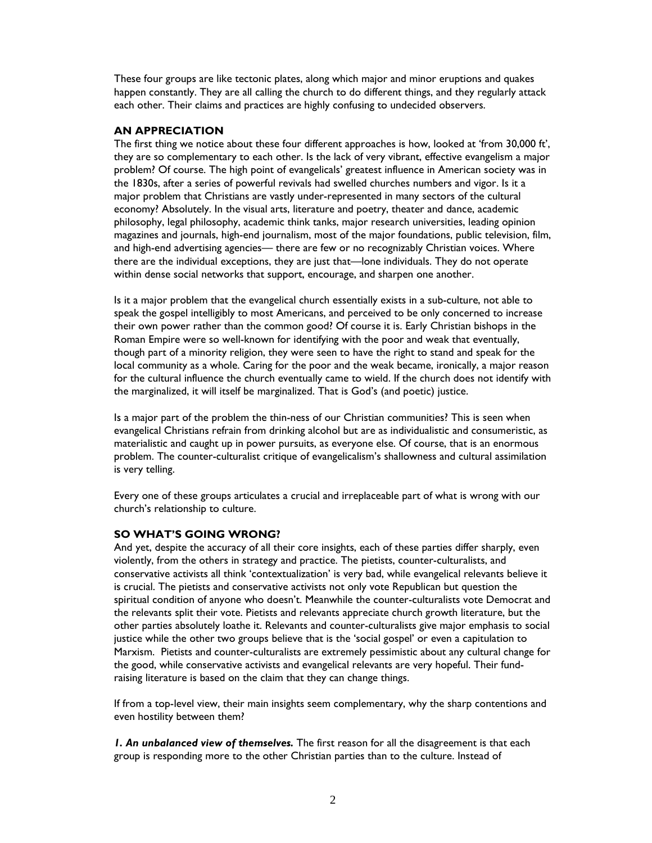These four groups are like tectonic plates, along which major and minor eruptions and quakes happen constantly. They are all calling the church to do different things, and they regularly attack each other. Their claims and practices are highly confusing to undecided observers.

### **AN APPRECIATION**

The first thing we notice about these four different approaches is how, looked at 'from 30,000 ft', they are so complementary to each other. Is the lack of very vibrant, effective evangelism a major problem? Of course. The high point of evangelicals' greatest influence in American society was in the 1830s, after a series of powerful revivals had swelled churches numbers and vigor. Is it a major problem that Christians are vastly under-represented in many sectors of the cultural economy? Absolutely. In the visual arts, literature and poetry, theater and dance, academic philosophy, legal philosophy, academic think tanks, major research universities, leading opinion magazines and journals, high-end journalism, most of the major foundations, public television, film, and high-end advertising agencies— there are few or no recognizably Christian voices. Where there are the individual exceptions, they are just that—lone individuals. They do not operate within dense social networks that support, encourage, and sharpen one another.

Is it a major problem that the evangelical church essentially exists in a sub-culture, not able to speak the gospel intelligibly to most Americans, and perceived to be only concerned to increase their own power rather than the common good? Of course it is. Early Christian bishops in the Roman Empire were so well-known for identifying with the poor and weak that eventually, though part of a minority religion, they were seen to have the right to stand and speak for the local community as a whole. Caring for the poor and the weak became, ironically, a major reason for the cultural influence the church eventually came to wield. If the church does not identify with the marginalized, it will itself be marginalized. That is God's (and poetic) justice.

Is a major part of the problem the thin-ness of our Christian communities? This is seen when evangelical Christians refrain from drinking alcohol but are as individualistic and consumeristic, as materialistic and caught up in power pursuits, as everyone else. Of course, that is an enormous problem. The counter-culturalist critique of evangelicalism's shallowness and cultural assimilation is very telling.

Every one of these groups articulates a crucial and irreplaceable part of what is wrong with our church's relationship to culture.

#### **SO WHAT'S GOING WRONG?**

And yet, despite the accuracy of all their core insights, each of these parties differ sharply, even violently, from the others in strategy and practice. The pietists, counter-culturalists, and conservative activists all think 'contextualization' is very bad, while evangelical relevants believe it is crucial. The pietists and conservative activists not only vote Republican but question the spiritual condition of anyone who doesn't. Meanwhile the counter-culturalists vote Democrat and the relevants split their vote. Pietists and relevants appreciate church growth literature, but the other parties absolutely loathe it. Relevants and counter-culturalists give major emphasis to social justice while the other two groups believe that is the 'social gospel' or even a capitulation to Marxism. Pietists and counter-culturalists are extremely pessimistic about any cultural change for the good, while conservative activists and evangelical relevants are very hopeful. Their fundraising literature is based on the claim that they can change things.

If from a top-level view, their main insights seem complementary, why the sharp contentions and even hostility between them?

*1. An unbalanced view of themselves.* The first reason for all the disagreement is that each group is responding more to the other Christian parties than to the culture. Instead of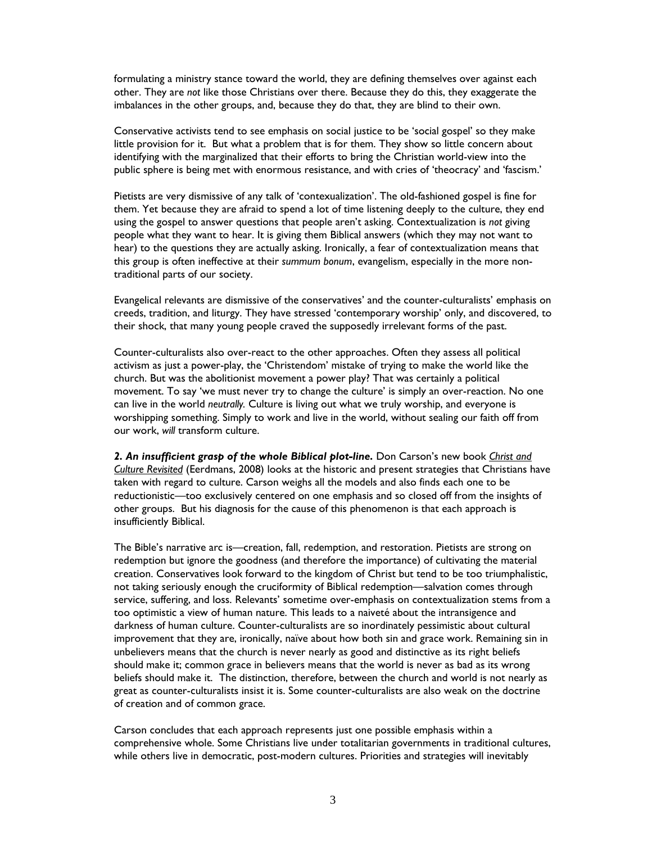formulating a ministry stance toward the world, they are defining themselves over against each other. They are *not* like those Christians over there. Because they do this, they exaggerate the imbalances in the other groups, and, because they do that, they are blind to their own.

Conservative activists tend to see emphasis on social justice to be 'social gospel' so they make little provision for it. But what a problem that is for them. They show so little concern about identifying with the marginalized that their efforts to bring the Christian world-view into the public sphere is being met with enormous resistance, and with cries of 'theocracy' and 'fascism.'

Pietists are very dismissive of any talk of 'contexualization'. The old-fashioned gospel is fine for them. Yet because they are afraid to spend a lot of time listening deeply to the culture, they end using the gospel to answer questions that people aren't asking. Contextualization is *not* giving people what they want to hear. It is giving them Biblical answers (which they may not want to hear) to the questions they are actually asking. Ironically, a fear of contextualization means that this group is often ineffective at their *summum bonum*, evangelism, especially in the more nontraditional parts of our society.

Evangelical relevants are dismissive of the conservatives' and the counter-culturalists' emphasis on creeds, tradition, and liturgy. They have stressed 'contemporary worship' only, and discovered, to their shock, that many young people craved the supposedly irrelevant forms of the past.

Counter-culturalists also over-react to the other approaches. Often they assess all political activism as just a power-play, the 'Christendom' mistake of trying to make the world like the church. But was the abolitionist movement a power play? That was certainly a political movement. To say 'we must never try to change the culture' is simply an over-reaction. No one can live in the world *neutrally.* Culture is living out what we truly worship, and everyone is worshipping something. Simply to work and live in the world, without sealing our faith off from our work, *will* transform culture.

2. An insufficient grasp of the whole Biblical plot-line. Don Carson's new book *Christ and Culture Revisited* (Eerdmans, 2008) looks at the historic and present strategies that Christians have taken with regard to culture. Carson weighs all the models and also finds each one to be reductionistic—too exclusively centered on one emphasis and so closed off from the insights of other groups. But his diagnosis for the cause of this phenomenon is that each approach is insufficiently Biblical.

The Bible's narrative arc is—creation, fall, redemption, and restoration. Pietists are strong on redemption but ignore the goodness (and therefore the importance) of cultivating the material creation. Conservatives look forward to the kingdom of Christ but tend to be too triumphalistic, not taking seriously enough the cruciformity of Biblical redemption—salvation comes through service, suffering, and loss. Relevants' sometime over-emphasis on contextualization stems from a too optimistic a view of human nature. This leads to a naiveté about the intransigence and darkness of human culture. Counter-culturalists are so inordinately pessimistic about cultural improvement that they are, ironically, naïve about how both sin and grace work. Remaining sin in unbelievers means that the church is never nearly as good and distinctive as its right beliefs should make it; common grace in believers means that the world is never as bad as its wrong beliefs should make it. The distinction, therefore, between the church and world is not nearly as great as counter-culturalists insist it is. Some counter-culturalists are also weak on the doctrine of creation and of common grace.

Carson concludes that each approach represents just one possible emphasis within a comprehensive whole. Some Christians live under totalitarian governments in traditional cultures, while others live in democratic, post-modern cultures. Priorities and strategies will inevitably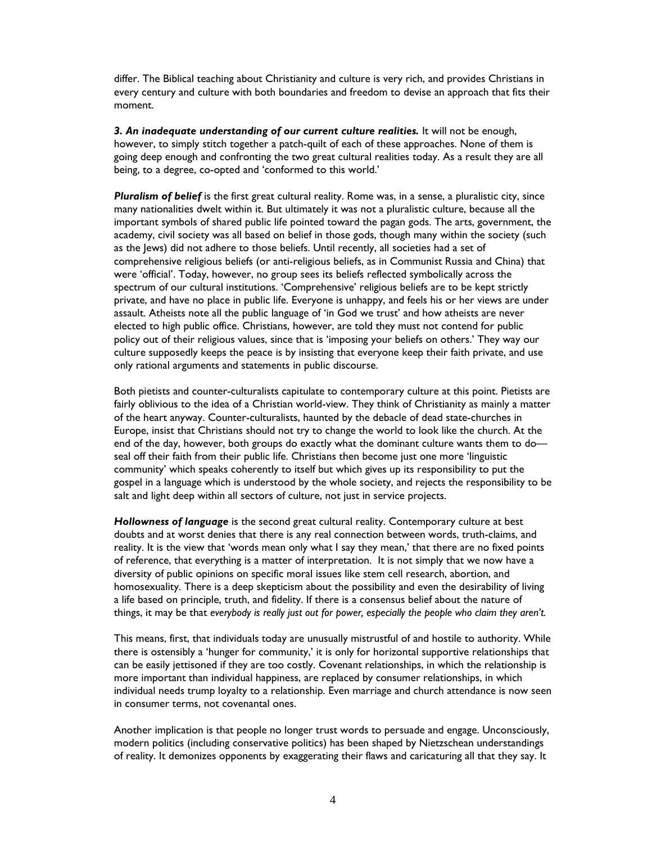differ. The Biblical teaching about Christianity and culture is very rich, and provides Christians in every century and culture with both boundaries and freedom to devise an approach that fits their moment.

*3. An inadequate understanding of our current culture realities.* It will not be enough, however, to simply stitch together a patch-quilt of each of these approaches. None of them is going deep enough and confronting the two great cultural realities today. As a result they are all being, to a degree, co-opted and 'conformed to this world.'

*Pluralism of belief* is the first great cultural reality. Rome was, in a sense, a pluralistic city, since many nationalities dwelt within it. But ultimately it was not a pluralistic culture, because all the important symbols of shared public life pointed toward the pagan gods. The arts, government, the academy, civil society was all based on belief in those gods, though many within the society (such as the Jews) did not adhere to those beliefs. Until recently, all societies had a set of comprehensive religious beliefs (or anti-religious beliefs, as in Communist Russia and China) that were 'official'. Today, however, no group sees its beliefs reflected symbolically across the spectrum of our cultural institutions. 'Comprehensive' religious beliefs are to be kept strictly private, and have no place in public life. Everyone is unhappy, and feels his or her views are under assault. Atheists note all the public language of 'in God we trust' and how atheists are never elected to high public office. Christians, however, are told they must not contend for public policy out of their religious values, since that is 'imposing your beliefs on others.' They way our culture supposedly keeps the peace is by insisting that everyone keep their faith private, and use only rational arguments and statements in public discourse.

Both pietists and counter-culturalists capitulate to contemporary culture at this point. Pietists are fairly oblivious to the idea of a Christian world-view. They think of Christianity as mainly a matter of the heart anyway. Counter-culturalists, haunted by the debacle of dead state-churches in Europe, insist that Christians should not try to change the world to look like the church. At the end of the day, however, both groups do exactly what the dominant culture wants them to do seal off their faith from their public life. Christians then become just one more 'linguistic community' which speaks coherently to itself but which gives up its responsibility to put the gospel in a language which is understood by the whole society, and rejects the responsibility to be salt and light deep within all sectors of culture, not just in service projects.

*Hollowness of language* is the second great cultural reality. Contemporary culture at best doubts and at worst denies that there is any real connection between words, truth-claims, and reality. It is the view that 'words mean only what I say they mean,' that there are no fixed points of reference, that everything is a matter of interpretation. It is not simply that we now have a diversity of public opinions on specific moral issues like stem cell research, abortion, and homosexuality. There is a deep skepticism about the possibility and even the desirability of living a life based on principle, truth, and fidelity. If there is a consensus belief about the nature of things, it may be that *everybody is really just out for power, especially the people who claim they aren't.* 

This means, first, that individuals today are unusually mistrustful of and hostile to authority. While there is ostensibly a 'hunger for community,' it is only for horizontal supportive relationships that can be easily jettisoned if they are too costly. Covenant relationships, in which the relationship is more important than individual happiness, are replaced by consumer relationships, in which individual needs trump loyalty to a relationship. Even marriage and church attendance is now seen in consumer terms, not covenantal ones.

Another implication is that people no longer trust words to persuade and engage. Unconsciously, modern politics (including conservative politics) has been shaped by Nietzschean understandings of reality. It demonizes opponents by exaggerating their flaws and caricaturing all that they say. It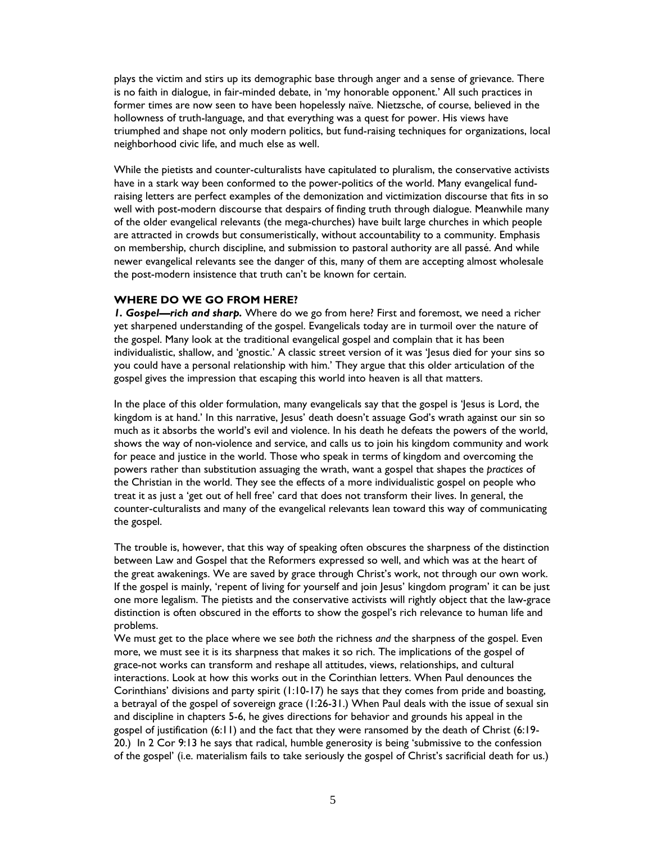plays the victim and stirs up its demographic base through anger and a sense of grievance. There is no faith in dialogue, in fair-minded debate, in 'my honorable opponent.' All such practices in former times are now seen to have been hopelessly naïve. Nietzsche, of course, believed in the hollowness of truth-language, and that everything was a quest for power. His views have triumphed and shape not only modern politics, but fund-raising techniques for organizations, local neighborhood civic life, and much else as well.

While the pietists and counter-culturalists have capitulated to pluralism, the conservative activists have in a stark way been conformed to the power-politics of the world. Many evangelical fundraising letters are perfect examples of the demonization and victimization discourse that fits in so well with post-modern discourse that despairs of finding truth through dialogue. Meanwhile many of the older evangelical relevants (the mega-churches) have built large churches in which people are attracted in crowds but consumeristically, without accountability to a community. Emphasis on membership, church discipline, and submission to pastoral authority are all passé. And while newer evangelical relevants see the danger of this, many of them are accepting almost wholesale the post-modern insistence that truth can't be known for certain.

### **WHERE DO WE GO FROM HERE?**

*1. Gospel—rich and sharp.* Where do we go from here? First and foremost, we need a richer yet sharpened understanding of the gospel. Evangelicals today are in turmoil over the nature of the gospel. Many look at the traditional evangelical gospel and complain that it has been individualistic, shallow, and 'gnostic.' A classic street version of it was 'Jesus died for your sins so you could have a personal relationship with him.' They argue that this older articulation of the gospel gives the impression that escaping this world into heaven is all that matters.

In the place of this older formulation, many evangelicals say that the gospel is 'Jesus is Lord, the kingdom is at hand.' In this narrative, Jesus' death doesn't assuage God's wrath against our sin so much as it absorbs the world's evil and violence. In his death he defeats the powers of the world, shows the way of non-violence and service, and calls us to join his kingdom community and work for peace and justice in the world. Those who speak in terms of kingdom and overcoming the powers rather than substitution assuaging the wrath, want a gospel that shapes the *practices* of the Christian in the world. They see the effects of a more individualistic gospel on people who treat it as just a 'get out of hell free' card that does not transform their lives. In general, the counter-culturalists and many of the evangelical relevants lean toward this way of communicating the gospel.

The trouble is, however, that this way of speaking often obscures the sharpness of the distinction between Law and Gospel that the Reformers expressed so well, and which was at the heart of the great awakenings. We are saved by grace through Christ's work, not through our own work. If the gospel is mainly, 'repent of living for yourself and join Jesus' kingdom program' it can be just one more legalism. The pietists and the conservative activists will rightly object that the law-grace distinction is often obscured in the efforts to show the gospel's rich relevance to human life and problems.

We must get to the place where we see *both* the richness *and* the sharpness of the gospel. Even more, we must see it is its sharpness that makes it so rich. The implications of the gospel of grace-not works can transform and reshape all attitudes, views, relationships, and cultural interactions. Look at how this works out in the Corinthian letters. When Paul denounces the Corinthians' divisions and party spirit (1:10-17) he says that they comes from pride and boasting, a betrayal of the gospel of sovereign grace (1:26-31.) When Paul deals with the issue of sexual sin and discipline in chapters 5-6, he gives directions for behavior and grounds his appeal in the gospel of justification (6:11) and the fact that they were ransomed by the death of Christ (6:19- 20.) In 2 Cor 9:13 he says that radical, humble generosity is being 'submissive to the confession of the gospel' (i.e. materialism fails to take seriously the gospel of Christ's sacrificial death for us.)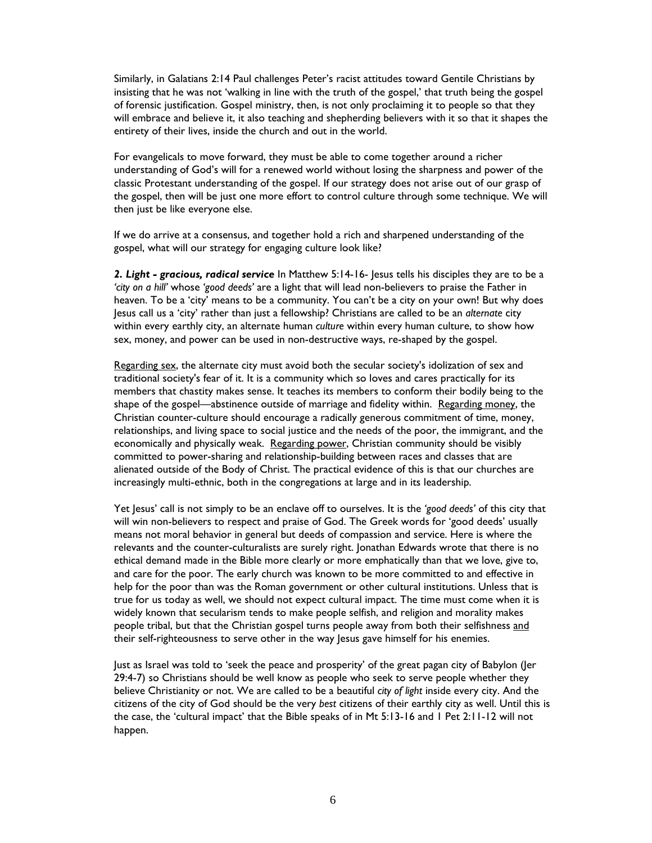Similarly, in Galatians 2:14 Paul challenges Peter's racist attitudes toward Gentile Christians by insisting that he was not 'walking in line with the truth of the gospel,' that truth being the gospel of forensic justification. Gospel ministry, then, is not only proclaiming it to people so that they will embrace and believe it, it also teaching and shepherding believers with it so that it shapes the entirety of their lives, inside the church and out in the world.

For evangelicals to move forward, they must be able to come together around a richer understanding of God's will for a renewed world without losing the sharpness and power of the classic Protestant understanding of the gospel. If our strategy does not arise out of our grasp of the gospel, then will be just one more effort to control culture through some technique. We will then just be like everyone else.

If we do arrive at a consensus, and together hold a rich and sharpened understanding of the gospel, what will our strategy for engaging culture look like?

*2. Light - gracious, radical service* In Matthew 5:14-16- Jesus tells his disciples they are to be a *'city on a hill'* whose *'good deeds'* are a light that will lead non-believers to praise the Father in heaven. To be a 'city' means to be a community. You can't be a city on your own! But why does Jesus call us a 'city' rather than just a fellowship? Christians are called to be an *alternate* city within every earthly city, an alternate human *culture* within every human culture, to show how sex, money, and power can be used in non-destructive ways, re-shaped by the gospel.

Regarding sex, the alternate city must avoid both the secular society's idolization of sex and traditional society's fear of it. It is a community which so loves and cares practically for its members that chastity makes sense. It teaches its members to conform their bodily being to the shape of the gospel—abstinence outside of marriage and fidelity within. Regarding money, the Christian counter-culture should encourage a radically generous commitment of time, money, relationships, and living space to social justice and the needs of the poor, the immigrant, and the economically and physically weak. Regarding power, Christian community should be visibly committed to power-sharing and relationship-building between races and classes that are alienated outside of the Body of Christ. The practical evidence of this is that our churches are increasingly multi-ethnic, both in the congregations at large and in its leadership.

Yet Jesus' call is not simply to be an enclave off to ourselves. It is the *'good deeds'* of this city that will win non-believers to respect and praise of God. The Greek words for 'good deeds' usually means not moral behavior in general but deeds of compassion and service. Here is where the relevants and the counter-culturalists are surely right. Jonathan Edwards wrote that there is no ethical demand made in the Bible more clearly or more emphatically than that we love, give to, and care for the poor. The early church was known to be more committed to and effective in help for the poor than was the Roman government or other cultural institutions. Unless that is true for us today as well, we should not expect cultural impact. The time must come when it is widely known that secularism tends to make people selfish, and religion and morality makes people tribal, but that the Christian gospel turns people away from both their selfishness and their self-righteousness to serve other in the way Jesus gave himself for his enemies.

Just as Israel was told to 'seek the peace and prosperity' of the great pagan city of Babylon (Jer 29:4-7) so Christians should be well know as people who seek to serve people whether they believe Christianity or not. We are called to be a beautiful *city of light* inside every city. And the citizens of the city of God should be the very *best* citizens of their earthly city as well. Until this is the case, the 'cultural impact' that the Bible speaks of in Mt 5:13-16 and 1 Pet 2:11-12 will not happen.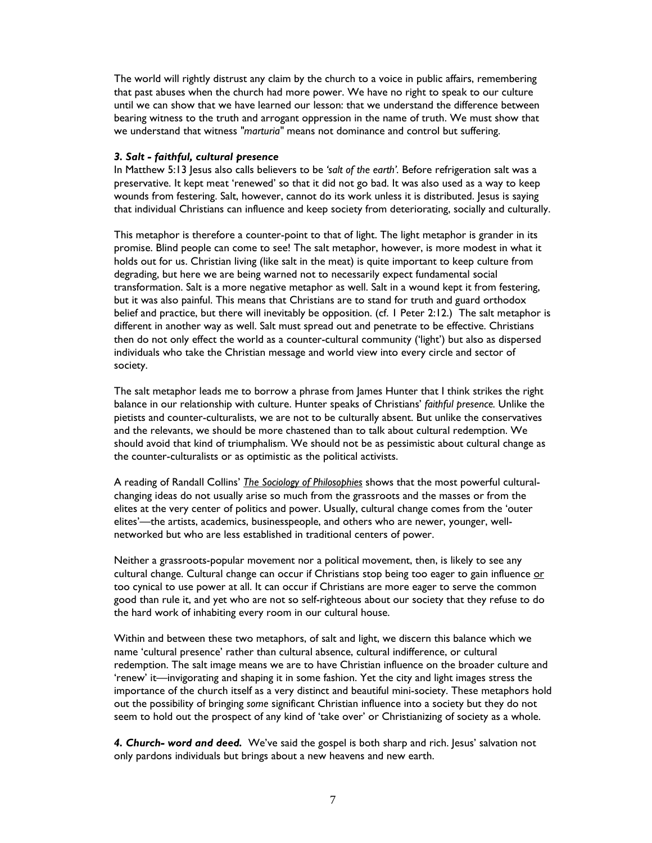The world will rightly distrust any claim by the church to a voice in public affairs, remembering that past abuses when the church had more power. We have no right to speak to our culture until we can show that we have learned our lesson: that we understand the difference between bearing witness to the truth and arrogant oppression in the name of truth. We must show that we understand that witness *"marturia"* means not dominance and control but suffering.

#### *3. Salt - faithful, cultural presence*

In Matthew 5:13 Jesus also calls believers to be *'salt of the earth'.* Before refrigeration salt was a preservative. It kept meat 'renewed' so that it did not go bad. It was also used as a way to keep wounds from festering. Salt, however, cannot do its work unless it is distributed. Jesus is saying that individual Christians can influence and keep society from deteriorating, socially and culturally.

This metaphor is therefore a counter-point to that of light. The light metaphor is grander in its promise. Blind people can come to see! The salt metaphor, however, is more modest in what it holds out for us. Christian living (like salt in the meat) is quite important to keep culture from degrading, but here we are being warned not to necessarily expect fundamental social transformation. Salt is a more negative metaphor as well. Salt in a wound kept it from festering, but it was also painful. This means that Christians are to stand for truth and guard orthodox belief and practice, but there will inevitably be opposition. (cf. 1 Peter 2:12.) The salt metaphor is different in another way as well. Salt must spread out and penetrate to be effective. Christians then do not only effect the world as a counter-cultural community ('light') but also as dispersed individuals who take the Christian message and world view into every circle and sector of society.

The salt metaphor leads me to borrow a phrase from James Hunter that I think strikes the right balance in our relationship with culture. Hunter speaks of Christians' *faithful presence.* Unlike the pietists and counter-culturalists, we are not to be culturally absent. But unlike the conservatives and the relevants, we should be more chastened than to talk about cultural redemption. We should avoid that kind of triumphalism. We should not be as pessimistic about cultural change as the counter-culturalists or as optimistic as the political activists.

A reading of Randall Collins' *The Sociology of Philosophies* shows that the most powerful culturalchanging ideas do not usually arise so much from the grassroots and the masses or from the elites at the very center of politics and power. Usually, cultural change comes from the 'outer elites'—the artists, academics, businesspeople, and others who are newer, younger, wellnetworked but who are less established in traditional centers of power.

Neither a grassroots-popular movement nor a political movement, then, is likely to see any cultural change. Cultural change can occur if Christians stop being too eager to gain influence or too cynical to use power at all. It can occur if Christians are more eager to serve the common good than rule it, and yet who are not so self-righteous about our society that they refuse to do the hard work of inhabiting every room in our cultural house.

Within and between these two metaphors, of salt and light, we discern this balance which we name 'cultural presence' rather than cultural absence, cultural indifference, or cultural redemption. The salt image means we are to have Christian influence on the broader culture and 'renew' it—invigorating and shaping it in some fashion. Yet the city and light images stress the importance of the church itself as a very distinct and beautiful mini-society. These metaphors hold out the possibility of bringing *some* significant Christian influence into a society but they do not seem to hold out the prospect of any kind of 'take over' or Christianizing of society as a whole.

*4. Church- word and deed.* We've said the gospel is both sharp and rich. Jesus' salvation not only pardons individuals but brings about a new heavens and new earth.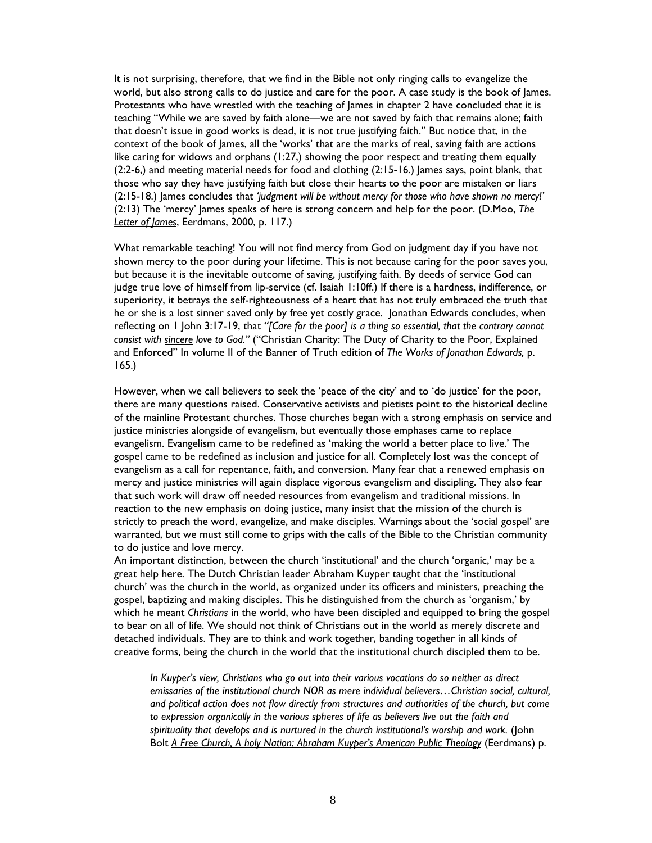It is not surprising, therefore, that we find in the Bible not only ringing calls to evangelize the world, but also strong calls to do justice and care for the poor. A case study is the book of James. Protestants who have wrestled with the teaching of James in chapter 2 have concluded that it is teaching "While we are saved by faith alone—we are not saved by faith that remains alone; faith that doesn't issue in good works is dead, it is not true justifying faith." But notice that, in the context of the book of James, all the 'works' that are the marks of real, saving faith are actions like caring for widows and orphans (1:27,) showing the poor respect and treating them equally (2:2-6,) and meeting material needs for food and clothing (2:15-16.) James says, point blank, that those who say they have justifying faith but close their hearts to the poor are mistaken or liars (2:15-18.) James concludes that *'judgment will be without mercy for those who have shown no mercy!'* (2:13) The 'mercy' James speaks of here is strong concern and help for the poor. (D.Moo, *The Letter of James*, Eerdmans, 2000, p. 117.)

What remarkable teaching! You will not find mercy from God on judgment day if you have not shown mercy to the poor during your lifetime. This is not because caring for the poor saves you, but because it is the inevitable outcome of saving, justifying faith. By deeds of service God can judge true love of himself from lip-service (cf. Isaiah 1:10ff.) If there is a hardness, indifference, or superiority, it betrays the self-righteousness of a heart that has not truly embraced the truth that he or she is a lost sinner saved only by free yet costly grace. Jonathan Edwards concludes, when reflecting on 1 John 3:17-19, that *"[Care for the poor] is a thing so essential, that the contrary cannot consist with sincere love to God."* ("Christian Charity: The Duty of Charity to the Poor, Explained and Enforced" In volume II of the Banner of Truth edition of *The Works of Jonathan Edwards,* p. 165.)

However, when we call believers to seek the 'peace of the city' and to 'do justice' for the poor, there are many questions raised. Conservative activists and pietists point to the historical decline of the mainline Protestant churches. Those churches began with a strong emphasis on service and justice ministries alongside of evangelism, but eventually those emphases came to replace evangelism. Evangelism came to be redefined as 'making the world a better place to live.' The gospel came to be redefined as inclusion and justice for all. Completely lost was the concept of evangelism as a call for repentance, faith, and conversion. Many fear that a renewed emphasis on mercy and justice ministries will again displace vigorous evangelism and discipling. They also fear that such work will draw off needed resources from evangelism and traditional missions. In reaction to the new emphasis on doing justice, many insist that the mission of the church is strictly to preach the word, evangelize, and make disciples. Warnings about the 'social gospel' are warranted, but we must still come to grips with the calls of the Bible to the Christian community to do justice and love mercy.

An important distinction, between the church 'institutional' and the church 'organic,' may be a great help here. The Dutch Christian leader Abraham Kuyper taught that the 'institutional church' was the church in the world, as organized under its officers and ministers, preaching the gospel, baptizing and making disciples. This he distinguished from the church as 'organism,' by which he meant *Christians* in the world, who have been discipled and equipped to bring the gospel to bear on all of life. We should not think of Christians out in the world as merely discrete and detached individuals. They are to think and work together, banding together in all kinds of creative forms, being the church in the world that the institutional church discipled them to be.

*In Kuyper's view, Christians who go out into their various vocations do so neither as direct emissaries of the institutional church NOR as mere individual believers…Christian social, cultural, and political action does not flow directly from structures and authorities of the church, but come to expression organically in the various spheres of life as believers live out the faith and*  spirituality that develops and is nurtured in the church institutional's worship and work. (John Bolt *A Free Church, A holy Nation: Abraham Kuyper's American Public Theology* (Eerdmans) p.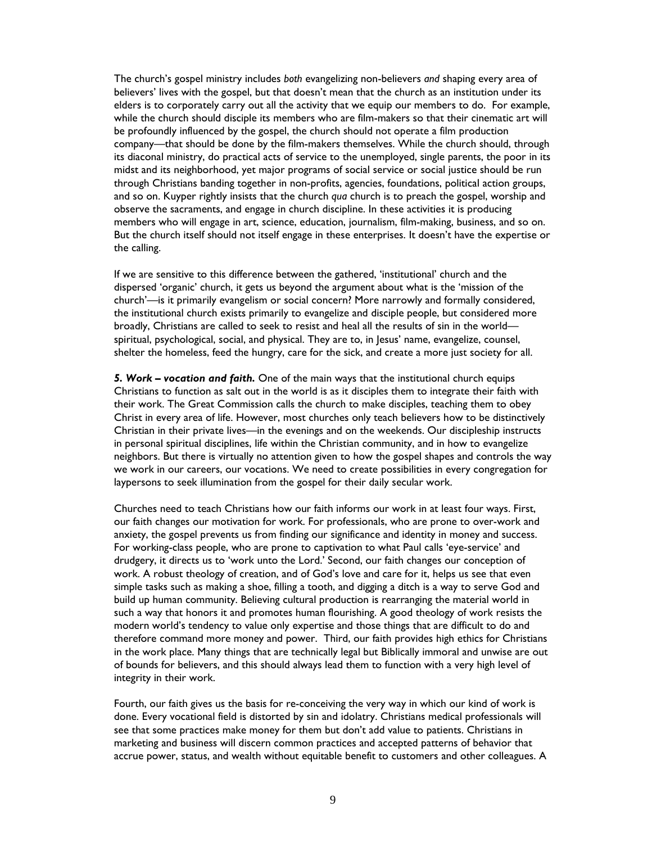The church's gospel ministry includes *both* evangelizing non-believers *and* shaping every area of believers' lives with the gospel, but that doesn't mean that the church as an institution under its elders is to corporately carry out all the activity that we equip our members to do. For example, while the church should disciple its members who are film-makers so that their cinematic art will be profoundly influenced by the gospel, the church should not operate a film production company—that should be done by the film-makers themselves. While the church should, through its diaconal ministry, do practical acts of service to the unemployed, single parents, the poor in its midst and its neighborhood, yet major programs of social service or social justice should be run through Christians banding together in non-profits, agencies, foundations, political action groups, and so on. Kuyper rightly insists that the church *qua* church is to preach the gospel, worship and observe the sacraments, and engage in church discipline. In these activities it is producing members who will engage in art, science, education, journalism, film-making, business, and so on. But the church itself should not itself engage in these enterprises. It doesn't have the expertise or the calling.

If we are sensitive to this difference between the gathered, 'institutional' church and the dispersed 'organic' church, it gets us beyond the argument about what is the 'mission of the church'—is it primarily evangelism or social concern? More narrowly and formally considered, the institutional church exists primarily to evangelize and disciple people, but considered more broadly, Christians are called to seek to resist and heal all the results of sin in the world spiritual, psychological, social, and physical. They are to, in Jesus' name, evangelize, counsel, shelter the homeless, feed the hungry, care for the sick, and create a more just society for all.

*5. Work – vocation and faith.* One of the main ways that the institutional church equips Christians to function as salt out in the world is as it disciples them to integrate their faith with their work. The Great Commission calls the church to make disciples, teaching them to obey Christ in every area of life. However, most churches only teach believers how to be distinctively Christian in their private lives—in the evenings and on the weekends. Our discipleship instructs in personal spiritual disciplines, life within the Christian community, and in how to evangelize neighbors. But there is virtually no attention given to how the gospel shapes and controls the way we work in our careers, our vocations. We need to create possibilities in every congregation for laypersons to seek illumination from the gospel for their daily secular work.

Churches need to teach Christians how our faith informs our work in at least four ways. First, our faith changes our motivation for work. For professionals, who are prone to over-work and anxiety, the gospel prevents us from finding our significance and identity in money and success. For working-class people, who are prone to captivation to what Paul calls 'eye-service' and drudgery, it directs us to 'work unto the Lord.' Second, our faith changes our conception of work. A robust theology of creation, and of God's love and care for it, helps us see that even simple tasks such as making a shoe, filling a tooth, and digging a ditch is a way to serve God and build up human community. Believing cultural production is rearranging the material world in such a way that honors it and promotes human flourishing. A good theology of work resists the modern world's tendency to value only expertise and those things that are difficult to do and therefore command more money and power. Third, our faith provides high ethics for Christians in the work place. Many things that are technically legal but Biblically immoral and unwise are out of bounds for believers, and this should always lead them to function with a very high level of integrity in their work.

Fourth, our faith gives us the basis for re-conceiving the very way in which our kind of work is done. Every vocational field is distorted by sin and idolatry. Christians medical professionals will see that some practices make money for them but don't add value to patients. Christians in marketing and business will discern common practices and accepted patterns of behavior that accrue power, status, and wealth without equitable benefit to customers and other colleagues. A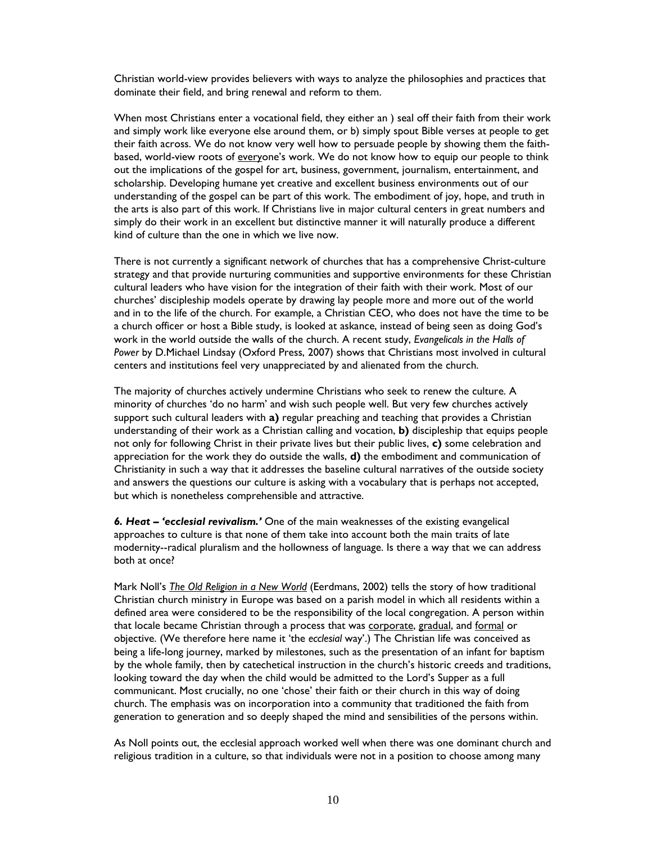Christian world-view provides believers with ways to analyze the philosophies and practices that dominate their field, and bring renewal and reform to them.

When most Christians enter a vocational field, they either an ) seal off their faith from their work and simply work like everyone else around them, or b) simply spout Bible verses at people to get their faith across. We do not know very well how to persuade people by showing them the faithbased, world-view roots of everyone's work. We do not know how to equip our people to think out the implications of the gospel for art, business, government, journalism, entertainment, and scholarship. Developing humane yet creative and excellent business environments out of our understanding of the gospel can be part of this work. The embodiment of joy, hope, and truth in the arts is also part of this work. If Christians live in major cultural centers in great numbers and simply do their work in an excellent but distinctive manner it will naturally produce a different kind of culture than the one in which we live now.

There is not currently a significant network of churches that has a comprehensive Christ-culture strategy and that provide nurturing communities and supportive environments for these Christian cultural leaders who have vision for the integration of their faith with their work. Most of our churches' discipleship models operate by drawing lay people more and more out of the world and in to the life of the church. For example, a Christian CEO, who does not have the time to be a church officer or host a Bible study, is looked at askance, instead of being seen as doing God's work in the world outside the walls of the church. A recent study, *Evangelicals in the Halls of Power* by D.Michael Lindsay (Oxford Press, 2007) shows that Christians most involved in cultural centers and institutions feel very unappreciated by and alienated from the church.

The majority of churches actively undermine Christians who seek to renew the culture. A minority of churches 'do no harm' and wish such people well. But very few churches actively support such cultural leaders with **a)** regular preaching and teaching that provides a Christian understanding of their work as a Christian calling and vocation, **b)** discipleship that equips people not only for following Christ in their private lives but their public lives, **c)** some celebration and appreciation for the work they do outside the walls, **d)** the embodiment and communication of Christianity in such a way that it addresses the baseline cultural narratives of the outside society and answers the questions our culture is asking with a vocabulary that is perhaps not accepted, but which is nonetheless comprehensible and attractive.

*6. Heat – 'ecclesial revivalism.'* One of the main weaknesses of the existing evangelical approaches to culture is that none of them take into account both the main traits of late modernity--radical pluralism and the hollowness of language. Is there a way that we can address both at once?

Mark Noll's *The Old Religion in a New World* (Eerdmans, 2002) tells the story of how traditional Christian church ministry in Europe was based on a parish model in which all residents within a defined area were considered to be the responsibility of the local congregation. A person within that locale became Christian through a process that was corporate, gradual, and formal or objective. (We therefore here name it 'the *ecclesial* way'.) The Christian life was conceived as being a life-long journey, marked by milestones, such as the presentation of an infant for baptism by the whole family, then by catechetical instruction in the church's historic creeds and traditions, looking toward the day when the child would be admitted to the Lord's Supper as a full communicant. Most crucially, no one 'chose' their faith or their church in this way of doing church. The emphasis was on incorporation into a community that traditioned the faith from generation to generation and so deeply shaped the mind and sensibilities of the persons within.

As Noll points out, the ecclesial approach worked well when there was one dominant church and religious tradition in a culture, so that individuals were not in a position to choose among many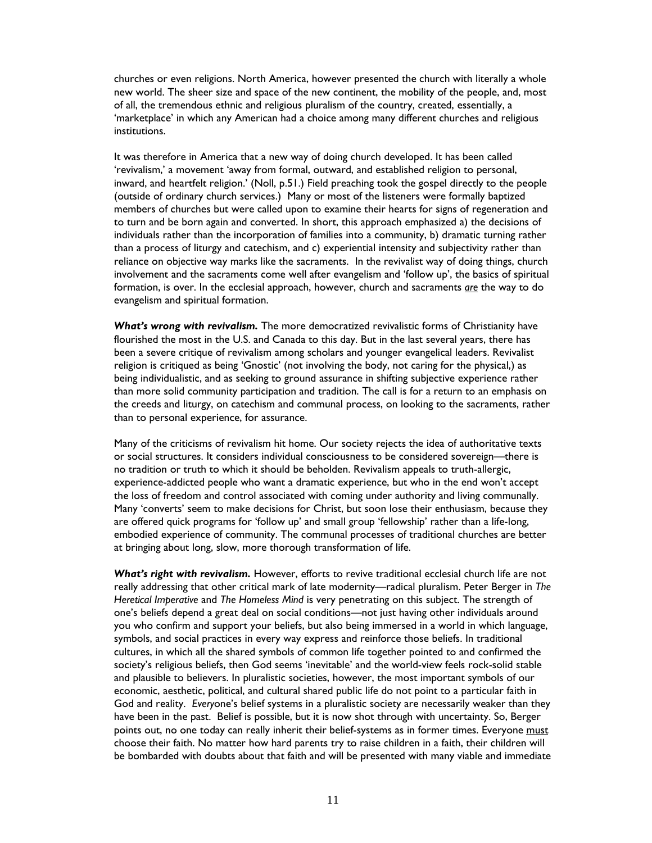churches or even religions. North America, however presented the church with literally a whole new world. The sheer size and space of the new continent, the mobility of the people, and, most of all, the tremendous ethnic and religious pluralism of the country, created, essentially, a 'marketplace' in which any American had a choice among many different churches and religious institutions.

It was therefore in America that a new way of doing church developed. It has been called 'revivalism,' a movement 'away from formal, outward, and established religion to personal, inward, and heartfelt religion.' (Noll, p.51.) Field preaching took the gospel directly to the people (outside of ordinary church services.) Many or most of the listeners were formally baptized members of churches but were called upon to examine their hearts for signs of regeneration and to turn and be born again and converted. In short, this approach emphasized a) the decisions of individuals rather than the incorporation of families into a community, b) dramatic turning rather than a process of liturgy and catechism, and c) experiential intensity and subjectivity rather than reliance on objective way marks like the sacraments. In the revivalist way of doing things, church involvement and the sacraments come well after evangelism and 'follow up', the basics of spiritual formation, is over. In the ecclesial approach, however, church and sacraments *are* the way to do evangelism and spiritual formation.

*What's wrong with revivalism.* The more democratized revivalistic forms of Christianity have flourished the most in the U.S. and Canada to this day. But in the last several years, there has been a severe critique of revivalism among scholars and younger evangelical leaders. Revivalist religion is critiqued as being 'Gnostic' (not involving the body, not caring for the physical,) as being individualistic, and as seeking to ground assurance in shifting subjective experience rather than more solid community participation and tradition. The call is for a return to an emphasis on the creeds and liturgy, on catechism and communal process, on looking to the sacraments, rather than to personal experience, for assurance.

Many of the criticisms of revivalism hit home. Our society rejects the idea of authoritative texts or social structures. It considers individual consciousness to be considered sovereign—there is no tradition or truth to which it should be beholden. Revivalism appeals to truth-allergic, experience-addicted people who want a dramatic experience, but who in the end won't accept the loss of freedom and control associated with coming under authority and living communally. Many 'converts' seem to make decisions for Christ, but soon lose their enthusiasm, because they are offered quick programs for 'follow up' and small group 'fellowship' rather than a life-long, embodied experience of community. The communal processes of traditional churches are better at bringing about long, slow, more thorough transformation of life.

What's right with revivalism. However, efforts to revive traditional ecclesial church life are not really addressing that other critical mark of late modernity—radical pluralism. Peter Berger in *The Heretical Imperative* and *The Homeless Mind* is very penetrating on this subject. The strength of one's beliefs depend a great deal on social conditions—not just having other individuals around you who confirm and support your beliefs, but also being immersed in a world in which language, symbols, and social practices in every way express and reinforce those beliefs. In traditional cultures, in which all the shared symbols of common life together pointed to and confirmed the society's religious beliefs, then God seems 'inevitable' and the world-view feels rock-solid stable and plausible to believers. In pluralistic societies, however, the most important symbols of our economic, aesthetic, political, and cultural shared public life do not point to a particular faith in God and reality. *Every*one's belief systems in a pluralistic society are necessarily weaker than they have been in the past. Belief is possible, but it is now shot through with uncertainty. So, Berger points out, no one today can really inherit their belief-systems as in former times. Everyone must choose their faith. No matter how hard parents try to raise children in a faith, their children will be bombarded with doubts about that faith and will be presented with many viable and immediate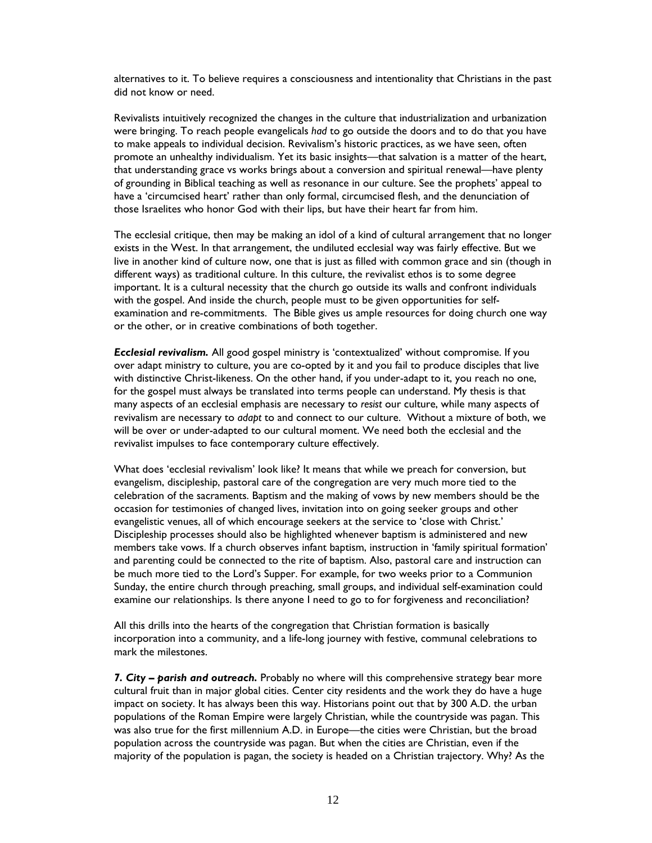alternatives to it. To believe requires a consciousness and intentionality that Christians in the past did not know or need.

Revivalists intuitively recognized the changes in the culture that industrialization and urbanization were bringing. To reach people evangelicals *had* to go outside the doors and to do that you have to make appeals to individual decision. Revivalism's historic practices, as we have seen, often promote an unhealthy individualism. Yet its basic insights—that salvation is a matter of the heart, that understanding grace vs works brings about a conversion and spiritual renewal—have plenty of grounding in Biblical teaching as well as resonance in our culture. See the prophets' appeal to have a 'circumcised heart' rather than only formal, circumcised flesh, and the denunciation of those Israelites who honor God with their lips, but have their heart far from him.

The ecclesial critique, then may be making an idol of a kind of cultural arrangement that no longer exists in the West. In that arrangement, the undiluted ecclesial way was fairly effective. But we live in another kind of culture now, one that is just as filled with common grace and sin (though in different ways) as traditional culture. In this culture, the revivalist ethos is to some degree important. It is a cultural necessity that the church go outside its walls and confront individuals with the gospel. And inside the church, people must to be given opportunities for selfexamination and re-commitments. The Bible gives us ample resources for doing church one way or the other, or in creative combinations of both together.

*Ecclesial revivalism.* All good gospel ministry is 'contextualized' without compromise. If you over adapt ministry to culture, you are co-opted by it and you fail to produce disciples that live with distinctive Christ-likeness. On the other hand, if you under-adapt to it, you reach no one, for the gospel must always be translated into terms people can understand. My thesis is that many aspects of an ecclesial emphasis are necessary to *resist* our culture, while many aspects of revivalism are necessary to *adapt* to and connect to our culture. Without a mixture of both, we will be over or under-adapted to our cultural moment. We need both the ecclesial and the revivalist impulses to face contemporary culture effectively.

What does 'ecclesial revivalism' look like? It means that while we preach for conversion, but evangelism, discipleship, pastoral care of the congregation are very much more tied to the celebration of the sacraments. Baptism and the making of vows by new members should be the occasion for testimonies of changed lives, invitation into on going seeker groups and other evangelistic venues, all of which encourage seekers at the service to 'close with Christ.' Discipleship processes should also be highlighted whenever baptism is administered and new members take vows. If a church observes infant baptism, instruction in 'family spiritual formation' and parenting could be connected to the rite of baptism. Also, pastoral care and instruction can be much more tied to the Lord's Supper. For example, for two weeks prior to a Communion Sunday, the entire church through preaching, small groups, and individual self-examination could examine our relationships. Is there anyone I need to go to for forgiveness and reconciliation?

All this drills into the hearts of the congregation that Christian formation is basically incorporation into a community, and a life-long journey with festive, communal celebrations to mark the milestones.

7. City - parish and outreach. Probably no where will this comprehensive strategy bear more cultural fruit than in major global cities. Center city residents and the work they do have a huge impact on society. It has always been this way. Historians point out that by 300 A.D. the urban populations of the Roman Empire were largely Christian, while the countryside was pagan. This was also true for the first millennium A.D. in Europe—the cities were Christian, but the broad population across the countryside was pagan. But when the cities are Christian, even if the majority of the population is pagan, the society is headed on a Christian trajectory. Why? As the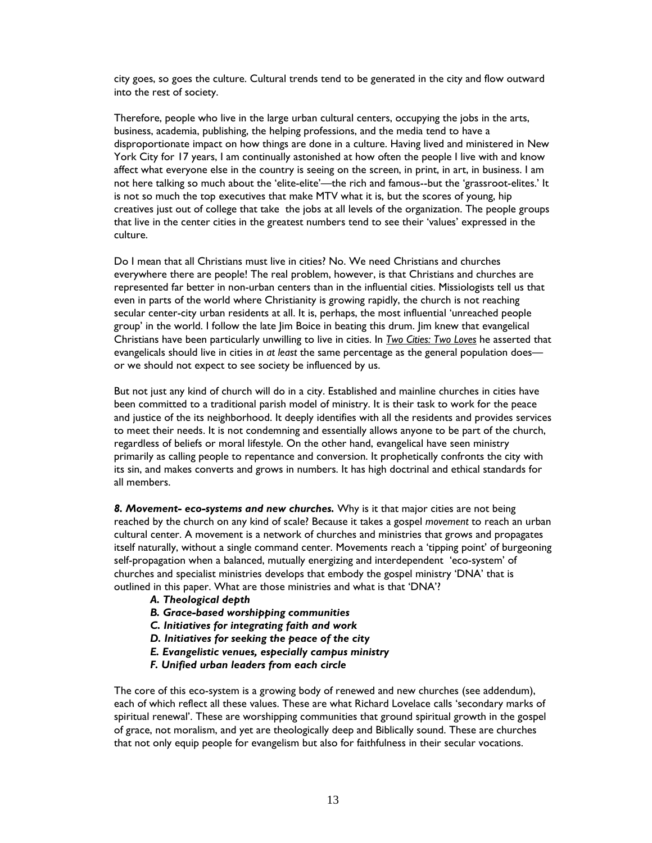city goes, so goes the culture. Cultural trends tend to be generated in the city and flow outward into the rest of society.

Therefore, people who live in the large urban cultural centers, occupying the jobs in the arts, business, academia, publishing, the helping professions, and the media tend to have a disproportionate impact on how things are done in a culture. Having lived and ministered in New York City for 17 years, I am continually astonished at how often the people I live with and know affect what everyone else in the country is seeing on the screen, in print, in art, in business. I am not here talking so much about the 'elite-elite'—the rich and famous--but the 'grassroot-elites.' It is not so much the top executives that make MTV what it is, but the scores of young, hip creatives just out of college that take the jobs at all levels of the organization. The people groups that live in the center cities in the greatest numbers tend to see their 'values' expressed in the culture.

Do I mean that all Christians must live in cities? No. We need Christians and churches everywhere there are people! The real problem, however, is that Christians and churches are represented far better in non-urban centers than in the influential cities. Missiologists tell us that even in parts of the world where Christianity is growing rapidly, the church is not reaching secular center-city urban residents at all. It is, perhaps, the most influential 'unreached people group' in the world. I follow the late Jim Boice in beating this drum. Jim knew that evangelical Christians have been particularly unwilling to live in cities. In *Two Cities: Two Loves* he asserted that evangelicals should live in cities in *at least* the same percentage as the general population does or we should not expect to see society be influenced by us.

But not just any kind of church will do in a city. Established and mainline churches in cities have been committed to a traditional parish model of ministry. It is their task to work for the peace and justice of the its neighborhood. It deeply identifies with all the residents and provides services to meet their needs. It is not condemning and essentially allows anyone to be part of the church, regardless of beliefs or moral lifestyle. On the other hand, evangelical have seen ministry primarily as calling people to repentance and conversion. It prophetically confronts the city with its sin, and makes converts and grows in numbers. It has high doctrinal and ethical standards for all members.

*8. Movement- eco-systems and new churches.* Why is it that major cities are not being reached by the church on any kind of scale? Because it takes a gospel *movement* to reach an urban cultural center. A movement is a network of churches and ministries that grows and propagates itself naturally, without a single command center. Movements reach a 'tipping point' of burgeoning self-propagation when a balanced, mutually energizing and interdependent 'eco-system' of churches and specialist ministries develops that embody the gospel ministry 'DNA' that is outlined in this paper. What are those ministries and what is that 'DNA'?

- *A. Theological depth*
- *B. Grace-based worshipping communities*
- *C. Initiatives for integrating faith and work*
- *D. Initiatives for seeking the peace of the city*
- *E. Evangelistic venues, especially campus ministry*
- *F. Unified urban leaders from each circle*

The core of this eco-system is a growing body of renewed and new churches (see addendum), each of which reflect all these values. These are what Richard Lovelace calls 'secondary marks of spiritual renewal'. These are worshipping communities that ground spiritual growth in the gospel of grace, not moralism, and yet are theologically deep and Biblically sound. These are churches that not only equip people for evangelism but also for faithfulness in their secular vocations.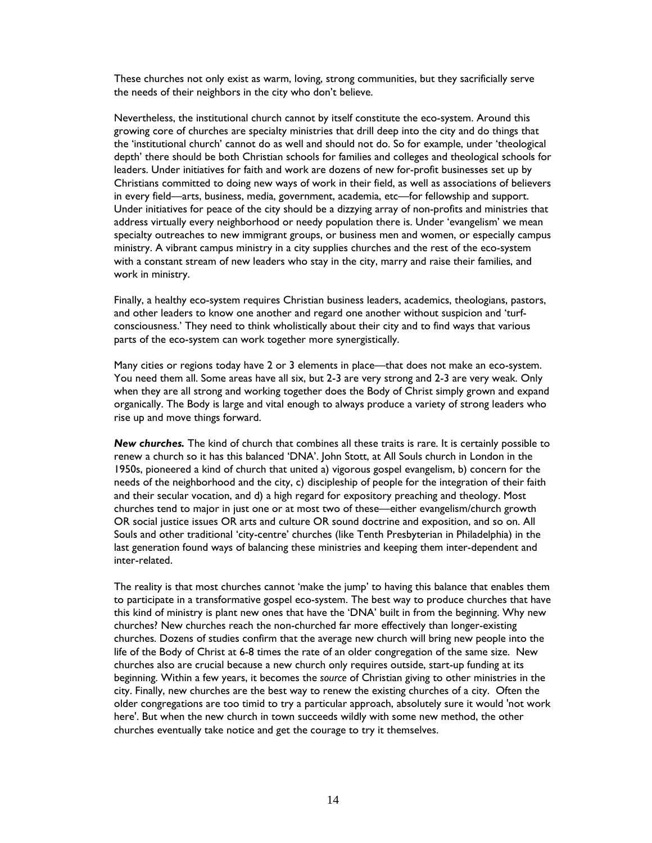These churches not only exist as warm, loving, strong communities, but they sacrificially serve the needs of their neighbors in the city who don't believe.

Nevertheless, the institutional church cannot by itself constitute the eco-system. Around this growing core of churches are specialty ministries that drill deep into the city and do things that the 'institutional church' cannot do as well and should not do. So for example, under 'theological depth' there should be both Christian schools for families and colleges and theological schools for leaders. Under initiatives for faith and work are dozens of new for-profit businesses set up by Christians committed to doing new ways of work in their field, as well as associations of believers in every field—arts, business, media, government, academia, etc—for fellowship and support. Under initiatives for peace of the city should be a dizzying array of non-profits and ministries that address virtually every neighborhood or needy population there is. Under 'evangelism' we mean specialty outreaches to new immigrant groups, or business men and women, or especially campus ministry. A vibrant campus ministry in a city supplies churches and the rest of the eco-system with a constant stream of new leaders who stay in the city, marry and raise their families, and work in ministry.

Finally, a healthy eco-system requires Christian business leaders, academics, theologians, pastors, and other leaders to know one another and regard one another without suspicion and 'turfconsciousness.' They need to think wholistically about their city and to find ways that various parts of the eco-system can work together more synergistically.

Many cities or regions today have 2 or 3 elements in place—that does not make an eco-system. You need them all. Some areas have all six, but 2-3 are very strong and 2-3 are very weak. Only when they are all strong and working together does the Body of Christ simply grown and expand organically. The Body is large and vital enough to always produce a variety of strong leaders who rise up and move things forward.

*New churches.* The kind of church that combines all these traits is rare. It is certainly possible to renew a church so it has this balanced 'DNA'. John Stott, at All Souls church in London in the 1950s, pioneered a kind of church that united a) vigorous gospel evangelism, b) concern for the needs of the neighborhood and the city, c) discipleship of people for the integration of their faith and their secular vocation, and d) a high regard for expository preaching and theology. Most churches tend to major in just one or at most two of these—either evangelism/church growth OR social justice issues OR arts and culture OR sound doctrine and exposition, and so on. All Souls and other traditional 'city-centre' churches (like Tenth Presbyterian in Philadelphia) in the last generation found ways of balancing these ministries and keeping them inter-dependent and inter-related.

The reality is that most churches cannot 'make the jump' to having this balance that enables them to participate in a transformative gospel eco-system. The best way to produce churches that have this kind of ministry is plant new ones that have the 'DNA' built in from the beginning. Why new churches? New churches reach the non-churched far more effectively than longer-existing churches. Dozens of studies confirm that the average new church will bring new people into the life of the Body of Christ at 6-8 times the rate of an older congregation of the same size. New churches also are crucial because a new church only requires outside, start-up funding at its beginning. Within a few years, it becomes the *source* of Christian giving to other ministries in the city. Finally, new churches are the best way to renew the existing churches of a city. Often the older congregations are too timid to try a particular approach, absolutely sure it would 'not work here'. But when the new church in town succeeds wildly with some new method, the other churches eventually take notice and get the courage to try it themselves.